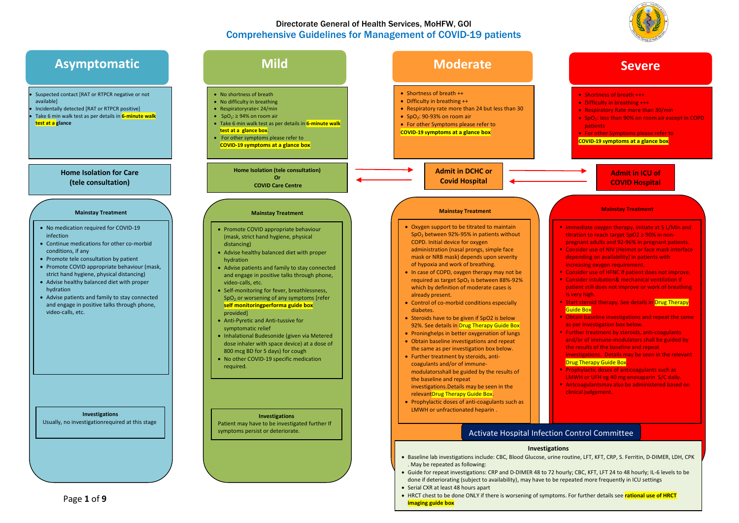

### Directorate General of Health Services, MoHFW, GOI Comprehensive Guidelines for Management of COVID-19 patients

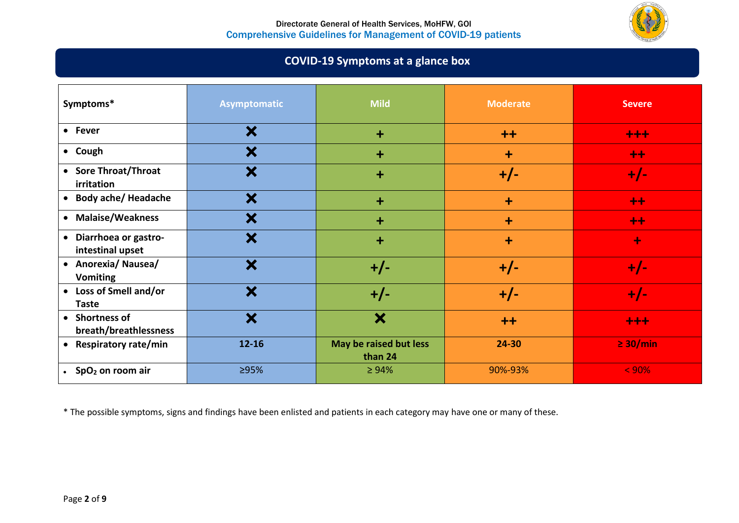

# **COVID-19 Symptoms at a glance box**

| Symptoms*                                  | <b>Asymptomatic</b> | <b>Mild</b>                       | <b>Moderate</b> | <b>Severe</b> |
|--------------------------------------------|---------------------|-----------------------------------|-----------------|---------------|
| • Fever                                    | X                   | $+$                               | $++$            | $+ + +$       |
| • Cough                                    | ×                   | $\ddot{}$                         | $\ddot{}$       | $++$          |
| • Sore Throat/Throat<br>irritation         | ×                   | $\ddot{}$                         | $+/-$           | $+/-$         |
| • Body ache/ Headache                      | X                   | $+$                               | $\ddot{}$       | $++$          |
| • Malaise/Weakness                         | ×                   | $\ddot{}$                         | $\ddot{}$       | $++$          |
| • Diarrhoea or gastro-<br>intestinal upset | X                   | $\ddotmark$                       | $\ddot{}$       | ÷             |
| • Anorexia/ Nausea/<br><b>Vomiting</b>     | ×                   | $+/-$                             | $+/-$           | $+/-$         |
| • Loss of Smell and/or<br>Taste            | X                   | $+/-$                             | $+/-$           | $+/-$         |
| • Shortness of<br>breath/breathlessness    | X                   | X                                 | $++$            | $+ + +$       |
| • Respiratory rate/min                     | $12 - 16$           | May be raised but less<br>than 24 | 24-30           | $\geq$ 30/min |
| • $SpO2$ on room air                       | ≥95%                | $\geq 94\%$                       | 90%-93%         | < 90%         |

\* The possible symptoms, signs and findings have been enlisted and patients in each category may have one or many of these.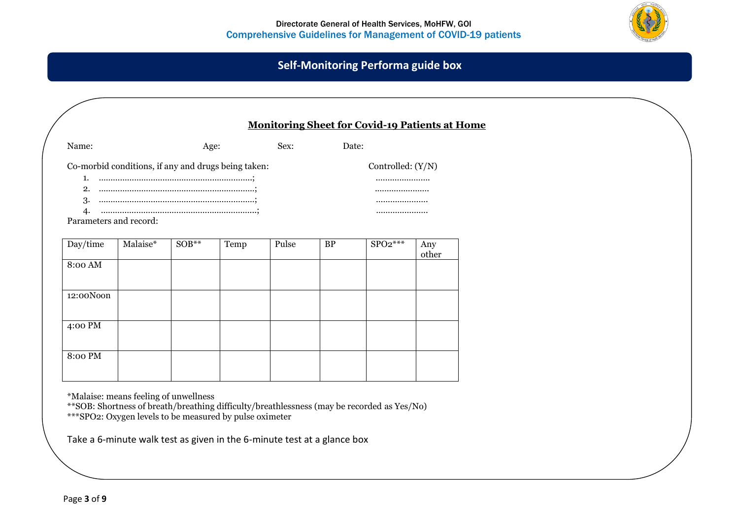

# **Self-Monitoring Performa guide box**

| <b>Monitoring Sheet for Covid-19 Patients at Home</b>                                                 |          |              |                                     |       |           |           |              |  |  |
|-------------------------------------------------------------------------------------------------------|----------|--------------|-------------------------------------|-------|-----------|-----------|--------------|--|--|
| Name:                                                                                                 |          | Sex:<br>Age: |                                     |       |           | Date:     |              |  |  |
| Co-morbid conditions, if any and drugs being taken:<br>1.<br>2.<br>3.<br>4.<br>Parameters and record: |          |              | Controlled: $(Y/N)$<br><br><br><br> |       |           |           |              |  |  |
| Day/time                                                                                              | Malaise* | $SOB**$      | Temp                                | Pulse | <b>BP</b> | $SPO2***$ | Any<br>other |  |  |
| 8:00 AM                                                                                               |          |              |                                     |       |           |           |              |  |  |
| 12:00Noon                                                                                             |          |              |                                     |       |           |           |              |  |  |
| 4:00 PM                                                                                               |          |              |                                     |       |           |           |              |  |  |
| 8:00 PM                                                                                               |          |              |                                     |       |           |           |              |  |  |

\*Malaise: means feeling of unwellness

\*\*SOB: Shortness of breath/breathing difficulty/breathlessness (may be recorded as Yes/No) \*\*\*SPO2: Oxygen levels to be measured by pulse oximeter

Take a 6-minute walk test as given in the 6-minute test at a glance box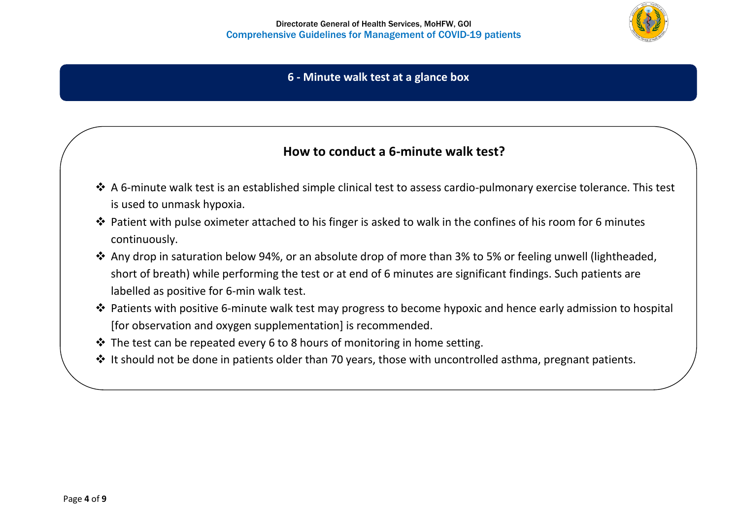

## **6 - Minute walk test at a glance box**

# **How to conduct a 6-minute walk test?**

- ❖ A 6-minute walk test is an established simple clinical test to assess cardio-pulmonary exercise tolerance. This test is used to unmask hypoxia.
- ❖ Patient with pulse oximeter attached to his finger is asked to walk in the confines of his room for 6 minutes continuously.
- ❖ Any drop in saturation below 94%, or an absolute drop of more than 3% to 5% or feeling unwell (lightheaded, short of breath) while performing the test or at end of 6 minutes are significant findings. Such patients are labelled as positive for 6-min walk test.
- ❖ Patients with positive 6-minute walk test may progress to become hypoxic and hence early admission to hospital [for observation and oxygen supplementation] is recommended.
- ❖ The test can be repeated every 6 to 8 hours of monitoring in home setting.
- ❖ It should not be done in patients older than 70 years, those with uncontrolled asthma, pregnant patients.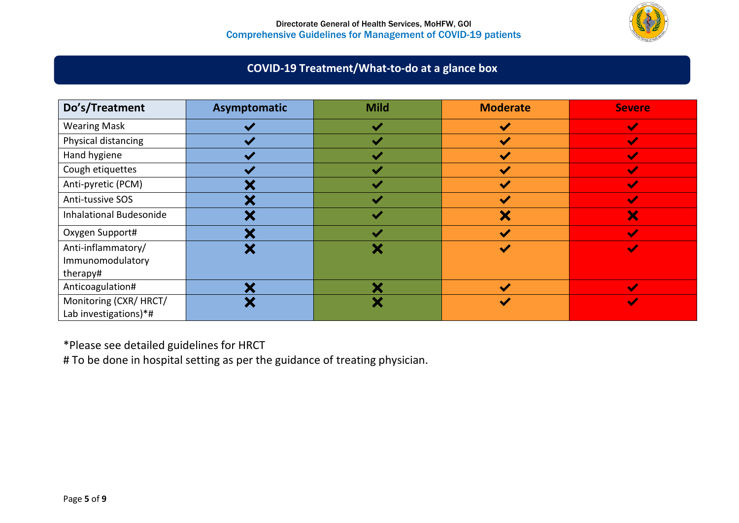

# **COVID-19 Treatment/What-to-do at a glance box**

| Do's/Treatment                                     | Asymptomatic          | <b>Mild</b> | <b>Moderate</b>       | <b>Severe</b>              |
|----------------------------------------------------|-----------------------|-------------|-----------------------|----------------------------|
| <b>Wearing Mask</b>                                |                       | $\cdot$     | $\checkmark$          | $\boldsymbol{\mathscr{L}}$ |
| Physical distancing                                | $\checkmark$          | v           | $\blacktriangledown$  | $\overline{\mathscr{L}}$   |
| Hand hygiene                                       |                       |             | $\blacktriangleright$ |                            |
| Cough etiquettes                                   | $\blacktriangleright$ |             | $\blacktriangledown$  |                            |
| Anti-pyretic (PCM)                                 | w                     |             | N                     | $\blacktriangleright$      |
| Anti-tussive SOS                                   | ₩                     |             | $\blacktriangledown$  |                            |
| <b>Inhalational Budesonide</b>                     | $\blacktriangleright$ |             | X                     | ×                          |
| Oxygen Support#                                    | ₩                     |             | <b>M</b>              |                            |
| Anti-inflammatory/<br>Immunomodulatory<br>therapy# | ₩                     |             | $\blacktriangleright$ | $\blacktriangledown$       |
| Anticoagulation#                                   | ◆⊿                    |             | M                     |                            |
| Monitoring (CXR/ HRCT/<br>Lab investigations)*#    | ₩                     | v           | $\blacktriangledown$  | $\blacktriangleright$      |

\*Please see detailed guidelines for HRCT

# To be done in hospital setting as per the guidance of treating physician.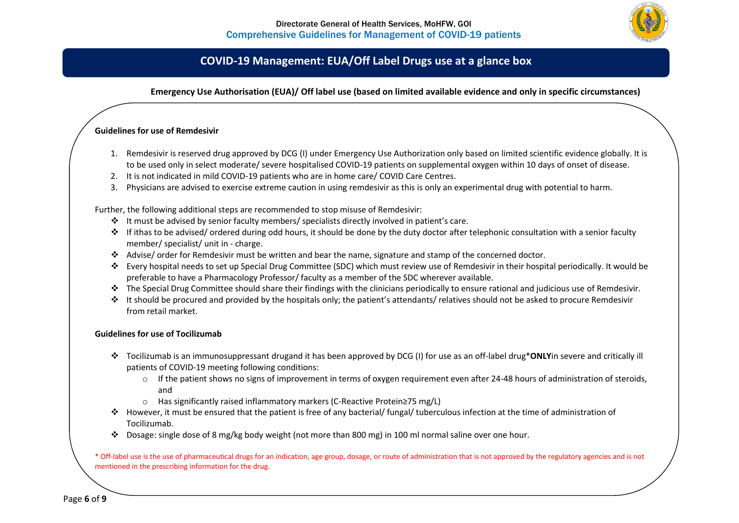

## **COVID-19 Management: EUA/Off Label Drugs use at a glance box**

### **Emergency Use Authorisation (EUA)/ Off label use (based on limited available evidence and only in specific circumstances)**

### **Guidelines for use of Remdesivir**

- 1. Remdesivir is reserved drug approved by DCG (I) under Emergency Use Authorization only based on limited scientific evidence globally. It is to be used only in select moderate/ severe hospitalised COVID-19 patients on supplemental oxygen within 10 days of onset of disease.
- 2. It is not indicated in mild COVID-19 patients who are in home care/ COVID Care Centres.
- 3. Physicians are advised to exercise extreme caution in using remdesivir as this is only an experimental drug with potential to harm.

Further, the following additional steps are recommended to stop misuse of Remdesivir:

- ❖ It must be advised by senior faculty members/ specialists directly involved in patient's care.
- ❖ If ithas to be advised/ ordered during odd hours, it should be done by the duty doctor after telephonic consultation with a senior faculty member/ specialist/ unit in - charge.
- ❖ Advise/ order for Remdesivir must be written and bear the name, signature and stamp of the concerned doctor.
- ❖ Every hospital needs to set up Special Drug Committee (SDC) which must review use of Remdesivir in their hospital periodically. It would be preferable to have a Pharmacology Professor/ faculty as a member of the SDC wherever available.
- ❖ The Special Drug Committee should share their findings with the clinicians periodically to ensure rational and judicious use of Remdesivir.
- ❖ It should be procured and provided by the hospitals only; the patient's attendants/ relatives should not be asked to procure Remdesivir from retail market.

### **Guidelines for use of Tocilizumab**

- ❖ Tocilizumab is an immunosuppressant drugand it has been approved by DCG (I) for use as an off-label drug\***ONLY**in severe and critically ill patients of COVID-19 meeting following conditions:
	- $\circ$  If the patient shows no signs of improvement in terms of oxygen requirement even after 24-48 hours of administration of steroids, and
	- o Has significantly raised inflammatory markers (C-Reactive Protein≥75 mg/L)
- ❖ However, it must be ensured that the patient is free of any bacterial/ fungal/ tuberculous infection at the time of administration of Tocilizumab.
- ❖ Dosage: single dose of 8 mg/kg body weight (not more than 800 mg) in 100 ml normal saline over one hour.

\* Off-label use is the use of pharmaceutical drugs for an indication, age group, dosage, or route of administration that is not approved by the regulatory agencies and is not mentioned in the prescribing information for the drug.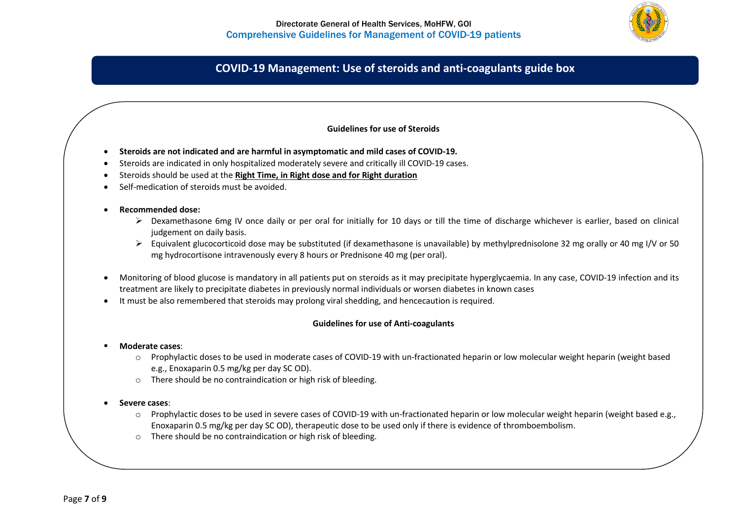

## **COVID-19 Management: Use of steroids and anti-coagulants guide box**

### **Guidelines for use of Steroids**

- **Steroids are not indicated and are harmful in asymptomatic and mild cases of COVID-19.**
- Steroids are indicated in only hospitalized moderately severe and critically ill COVID-19 cases.
- Steroids should be used at the **Right Time, in Right dose and for Right duration**
- Self-medication of steroids must be avoided.

#### • **Recommended dose:**

- $\triangleright$  Dexamethasone 6mg IV once daily or per oral for initially for 10 days or till the time of discharge whichever is earlier, based on clinical judgement on daily basis.
- ➢ Equivalent glucocorticoid dose may be substituted (if dexamethasone is unavailable) by methylprednisolone 32 mg orally or 40 mg I/V or 50 mg hydrocortisone intravenously every 8 hours or Prednisone 40 mg (per oral).
- Monitoring of blood glucose is mandatory in all patients put on steroids as it may precipitate hyperglycaemia. In any case, COVID-19 infection and its treatment are likely to precipitate diabetes in previously normal individuals or worsen diabetes in known cases
- It must be also remembered that steroids may prolong viral shedding, and hencecaution is required.

#### **Guidelines for use of Anti-coagulants**

- **Moderate cases**:
	- o Prophylactic doses to be used in moderate cases of COVID-19 with un-fractionated heparin or low molecular weight heparin (weight based e.g., Enoxaparin 0.5 mg/kg per day SC OD).
	- o There should be no contraindication or high risk of bleeding.
- **Severe cases**:
	- o Prophylactic doses to be used in severe cases of COVID-19 with un-fractionated heparin or low molecular weight heparin (weight based e.g., Enoxaparin 0.5 mg/kg per day SC OD), therapeutic dose to be used only if there is evidence of thromboembolism.
	- o There should be no contraindication or high risk of bleeding.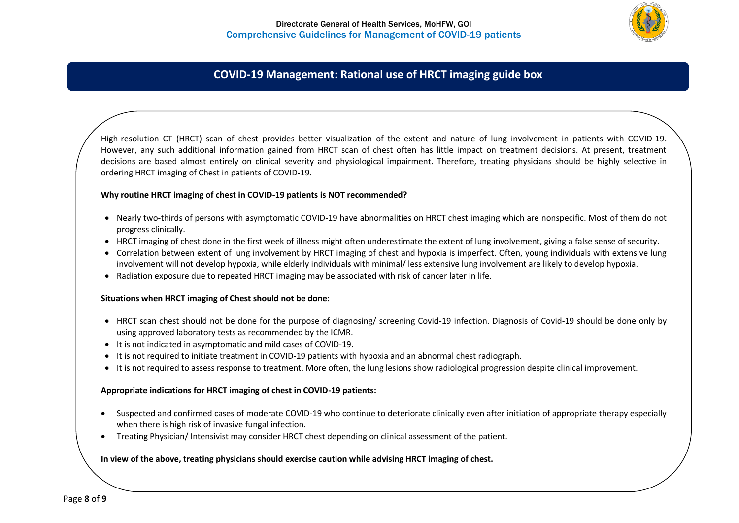

## **COVID-19 Management: Rational use of HRCT imaging guide box**

High-resolution CT (HRCT) scan of chest provides better visualization of the extent and nature of lung involvement in patients with COVID-19. However, any such additional information gained from HRCT scan of chest often has little impact on treatment decisions. At present, treatment decisions are based almost entirely on clinical severity and physiological impairment. Therefore, treating physicians should be highly selective in ordering HRCT imaging of Chest in patients of COVID-19.

### **Why routine HRCT imaging of chest in COVID-19 patients is NOT recommended?**

- Nearly two-thirds of persons with asymptomatic COVID-19 have abnormalities on HRCT chest imaging which are nonspecific. Most of them do not progress clinically.
- HRCT imaging of chest done in the first week of illness might often underestimate the extent of lung involvement, giving a false sense of security.
- Correlation between extent of lung involvement by HRCT imaging of chest and hypoxia is imperfect. Often, young individuals with extensive lung involvement will not develop hypoxia, while elderly individuals with minimal/ less extensive lung involvement are likely to develop hypoxia.
- Radiation exposure due to repeated HRCT imaging may be associated with risk of cancer later in life.

### **Situations when HRCT imaging of Chest should not be done:**

- HRCT scan chest should not be done for the purpose of diagnosing/ screening Covid-19 infection. Diagnosis of Covid-19 should be done only by using approved laboratory tests as recommended by the ICMR.
- It is not indicated in asymptomatic and mild cases of COVID-19.
- It is not required to initiate treatment in COVID-19 patients with hypoxia and an abnormal chest radiograph.
- It is not required to assess response to treatment. More often, the lung lesions show radiological progression despite clinical improvement.

### **Appropriate indications for HRCT imaging of chest in COVID-19 patients:**

- Suspected and confirmed cases of moderate COVID-19 who continue to deteriorate clinically even after initiation of appropriate therapy especially when there is high risk of invasive fungal infection.
- Treating Physician/ Intensivist may consider HRCT chest depending on clinical assessment of the patient.

### **In view of the above, treating physicians should exercise caution while advising HRCT imaging of chest.**